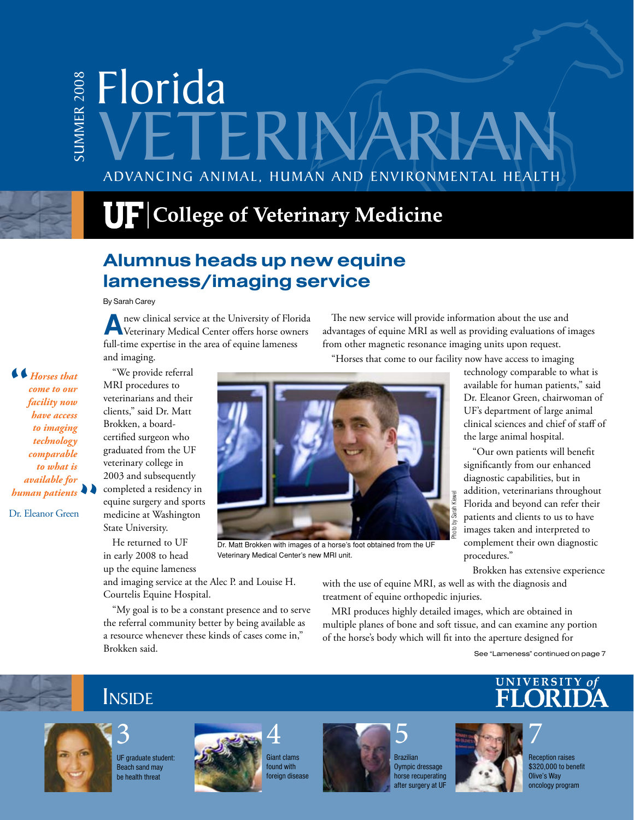# Advancing Animal, Human and Environmental Health Florida SUmm er 2008 IERINA

# $\mathbf{U}\mathbf{F}$  College of Veterinary Medicine

## Alumnus heads up new equine lameness/imaging service

By Sarah Carey

**A**new clinical service at the University of Florida Veterinary Medical Center offers horse owners full-time expertise in the area of equine lameness and imaging.

" *Horses that come to our facility now have access to imaging technology comparable to what is available for human patients* 

Dr. Eleanor Green

"We provide referral MRI procedures to veterinarians and their clients," said Dr. Matt Brokken, a boardcertified surgeon who graduated from the UF veterinary college in 2003 and subsequently completed a residency in equine surgery and sports medicine at Washington State University.

He returned to UF in early 2008 to head up the equine lameness

Dr. Matt Brokken with images of a horse's foot obtained from the UF Veterinary Medical Center's new MRI unit.

The new service will provide information about the use and advantages of equine MRI as well as providing evaluations of images from other magnetic resonance imaging units upon request.

"Horses that come to our facility now have access to imaging

technology comparable to what is available for human patients," said Dr. Eleanor Green, chairwoman of UF's department of large animal clinical sciences and chief of staff of the large animal hospital.

"Our own patients will benefit significantly from our enhanced diagnostic capabilities, but in addition, veterinarians throughout Florida and beyond can refer their patients and clients to us to have images taken and interpreted to complement their own diagnostic procedures."

Brokken has extensive experience

and imaging service at the Alec P. and Louise H. Courtelis Equine Hospital.

"My goal is to be a constant presence and to serve the referral community better by being available as a resource whenever these kinds of cases come in," Brokken said.

with the use of equine MRI, as well as with the diagnosis and treatment of equine orthopedic injuries.

Sarat

MRI produces highly detailed images, which are obtained in multiple planes of bone and soft tissue, and can examine any portion of the horse's body which will fit into the aperture designed for

See "Lameness" continued on page 7



# **INSIDE**



UF graduate student: Beach sand may be health threat



**Giant clams** found with oreign disease



Brazilian Oympic dressage horse recuperating after surgery at UF

5



Reception raises \$320,000 to benefit Olive's Way oncology program



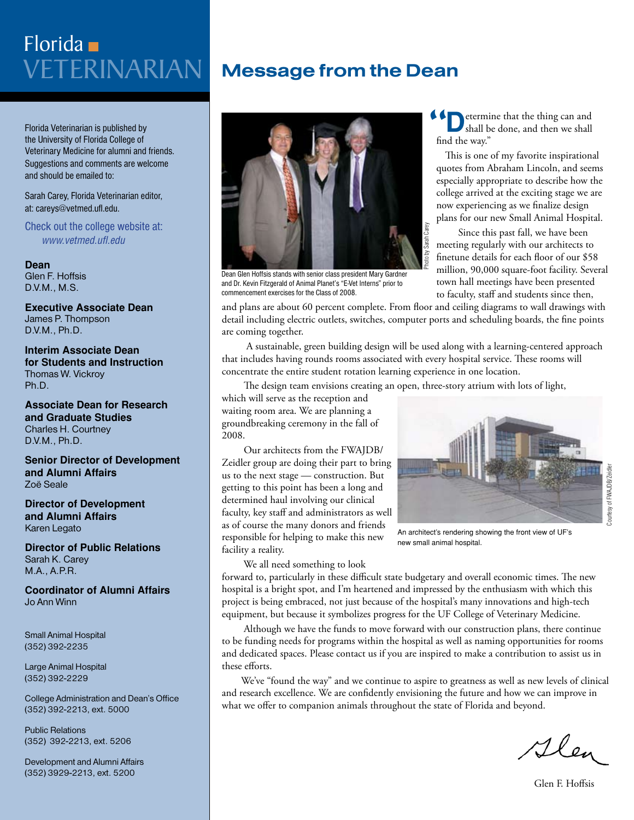# Veterinarian Florida

Florida Veterinarian is published by the University of Florida College of Veterinary Medicine for alumni and friends. Suggestions and comments are welcome and should be emailed to:

Sarah Carey, Florida Veterinarian editor, at: careys@vetmed.ufl.edu.

Check out the college website at: *www.vetmed.ufl.edu*

### **Dean**

Glen F. Hoffsis D.V.M., M.S.

**Executive Associate Dean**  James P. Thompson D.V.M., Ph.D.

**Interim Associate Dean for Students and Instruction** Thomas W. Vickroy Ph.D.

**Associate Dean for Research and Graduate Studies** Charles H. Courtney D.V.M., Ph.D.

**Senior Director of Development and Alumni Affairs** Zoë Seale

**Director of Development and Alumni Affairs** Karen Legato

**Director of Public Relations** Sarah K. Carey M.A., A.P.R.

**Coordinator of Alumni Affairs** Jo Ann Winn

Small Animal Hospital (352) 392-2235

Large Animal Hospital (352) 392-2229

College Administration and Dean's Office (352) 392-2213, ext. 5000

Public Relations (352) 392-2213, ext. 5206

Development and Alumni Affairs (352) 3929-2213, ext. 5200

# Message from the Dean



Dean Glen Hoffsis stands with senior class president Mary Gardner and Dr. Kevin Fitzgerald of Animal Planet's "E-Vet Interns" prior to commencement exercises for the Class of 2008.

etermine that the thing can and shall be done, and then we shall find the way."  $\begin{array}{c}\n\left\{\begin{array}{c}\n\bullet \\
\bullet \\
\bullet\n\end{array}\right\} \\
\left\{\begin{array}{c}\n\bullet \\
\bullet \\
\bullet\n\end{array}\right\} \\
\left\{\begin{array}{c}\n\bullet \\
\bullet \\
\bullet\n\end{array}\right\} \\
\left\{\begin{array}{c}\n\bullet \\
\bullet \\
\bullet \\
\bullet\n\end{array}\right\} \\
\left\{\begin{array}{c}\n\bullet \\
\bullet \\
\bullet \\
\bullet\n\end{array}\right\} \\
\left\{\begin{array}{c}\n\bullet \\
\bullet \\
\bullet \\
\bullet \\
\bullet\n\end{array}\right\} \\
\left\{\begin{array}{c}\n\bullet \\
\bullet \\
\bullet \\
\bullet \\
\bullet \\$ 

This is one of my favorite inspirational quotes from Abraham Lincoln, and seems especially appropriate to describe how the college arrived at the exciting stage we are now experiencing as we finalize design plans for our new Small Animal Hospital.

 Since this past fall, we have been meeting regularly with our architects to finetune details for each floor of our \$58 million, 90,000 square-foot facility. Several town hall meetings have been presented to faculty, staff and students since then,

and plans are about 60 percent complete. From floor and ceiling diagrams to wall drawings with detail including electric outlets, switches, computer ports and scheduling boards, the fine points are coming together.

Photo by Sarah Carey

 A sustainable, green building design will be used along with a learning-centered approach that includes having rounds rooms associated with every hospital service. These rooms will concentrate the entire student rotation learning experience in one location.

The design team envisions creating an open, three-story atrium with lots of light,

which will serve as the reception and waiting room area. We are planning a groundbreaking ceremony in the fall of 2008.

 Our architects from the FWAJDB/ Zeidler group are doing their part to bring us to the next stage — construction. But getting to this point has been a long and determined haul involving our clinical faculty, key staff and administrators as well as of course the many donors and friends responsible for helping to make this new facility a reality.

We all need something to look



An architect's rendering showing the front view of UF's new small animal hospital.

forward to, particularly in these difficult state budgetary and overall economic times. The new hospital is a bright spot, and I'm heartened and impressed by the enthusiasm with which this project is being embraced, not just because of the hospital's many innovations and high-tech equipment, but because it symbolizes progress for the UF College of Veterinary Medicine.

 Although we have the funds to move forward with our construction plans, there continue to be funding needs for programs within the hospital as well as naming opportunities for rooms and dedicated spaces. Please contact us if you are inspired to make a contribution to assist us in these efforts.

 We've "found the way" and we continue to aspire to greatness as well as new levels of clinical and research excellence. We are confidently envisioning the future and how we can improve in what we offer to companion animals throughout the state of Florida and beyond.

Glen

Courtesy of FWAJDB/Zeidler

ourtesy of FWAJDB/Zeidle

Glen F. Hoffsis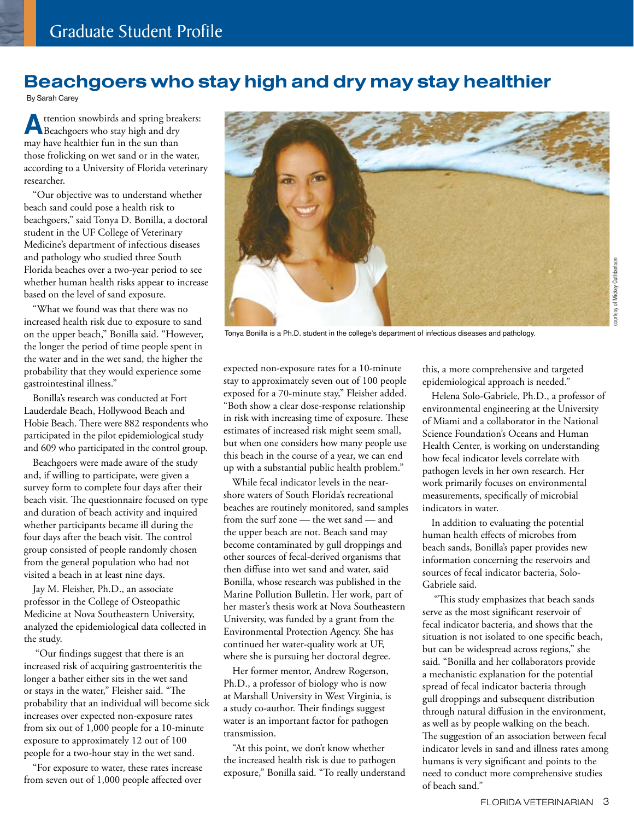### Beachgoers who stay high and dry may stay healthier

By Sarah Carey

**A**ttention snowbirds and spring breakers: Beachgoers who stay high and dry may have healthier fun in the sun than those frolicking on wet sand or in the water, according to a University of Florida veterinary researcher.

"Our objective was to understand whether beach sand could pose a health risk to beachgoers," said Tonya D. Bonilla, a doctoral student in the UF College of Veterinary Medicine's department of infectious diseases and pathology who studied three South Florida beaches over a two-year period to see whether human health risks appear to increase based on the level of sand exposure.

"What we found was that there was no increased health risk due to exposure to sand on the upper beach," Bonilla said. "However, the longer the period of time people spent in the water and in the wet sand, the higher the probability that they would experience some gastrointestinal illness."

Bonilla's research was conducted at Fort Lauderdale Beach, Hollywood Beach and Hobie Beach. There were 882 respondents who participated in the pilot epidemiological study and 609 who participated in the control group.

Beachgoers were made aware of the study and, if willing to participate, were given a survey form to complete four days after their beach visit. The questionnaire focused on type and duration of beach activity and inquired whether participants became ill during the four days after the beach visit. The control group consisted of people randomly chosen from the general population who had not visited a beach in at least nine days.

Jay M. Fleisher, Ph.D., an associate professor in the College of Osteopathic Medicine at Nova Southeastern University, analyzed the epidemiological data collected in the study.

 "Our findings suggest that there is an increased risk of acquiring gastroenteritis the longer a bather either sits in the wet sand or stays in the water," Fleisher said. "The probability that an individual will become sick increases over expected non-exposure rates from six out of 1,000 people for a 10-minute exposure to approximately 12 out of 100 people for a two-hour stay in the wet sand.

"For exposure to water, these rates increase from seven out of 1,000 people affected over



Tonya Bonilla is a Ph.D. student in the college's department of infectious diseases and pathology.

expected non-exposure rates for a 10-minute stay to approximately seven out of 100 people exposed for a 70-minute stay," Fleisher added. "Both show a clear dose-response relationship in risk with increasing time of exposure. These estimates of increased risk might seem small, but when one considers how many people use this beach in the course of a year, we can end up with a substantial public health problem."

While fecal indicator levels in the nearshore waters of South Florida's recreational beaches are routinely monitored, sand samples from the surf zone — the wet sand — and the upper beach are not. Beach sand may become contaminated by gull droppings and other sources of fecal-derived organisms that then diffuse into wet sand and water, said Bonilla, whose research was published in the Marine Pollution Bulletin. Her work, part of her master's thesis work at Nova Southeastern University, was funded by a grant from the Environmental Protection Agency. She has continued her water-quality work at UF, where she is pursuing her doctoral degree.

Her former mentor, Andrew Rogerson, Ph.D., a professor of biology who is now at Marshall University in West Virginia, is a study co-author. Their findings suggest water is an important factor for pathogen transmission.

"At this point, we don't know whether the increased health risk is due to pathogen exposure," Bonilla said. "To really understand this, a more comprehensive and targeted epidemiological approach is needed."

Helena Solo-Gabriele, Ph.D., a professor of environmental engineering at the University of Miami and a collaborator in the National Science Foundation's Oceans and Human Health Center, is working on understanding how fecal indicator levels correlate with pathogen levels in her own research. Her work primarily focuses on environmental measurements, specifically of microbial indicators in water.

In addition to evaluating the potential human health effects of microbes from beach sands, Bonilla's paper provides new information concerning the reservoirs and sources of fecal indicator bacteria, Solo-Gabriele said.

 "This study emphasizes that beach sands serve as the most significant reservoir of fecal indicator bacteria, and shows that the situation is not isolated to one specific beach, but can be widespread across regions," she said. "Bonilla and her collaborators provide a mechanistic explanation for the potential spread of fecal indicator bacteria through gull droppings and subsequent distribution through natural diffusion in the environment, as well as by people walking on the beach. The suggestion of an association between fecal indicator levels in sand and illness rates among humans is very significant and points to the need to conduct more comprehensive studies of beach sand."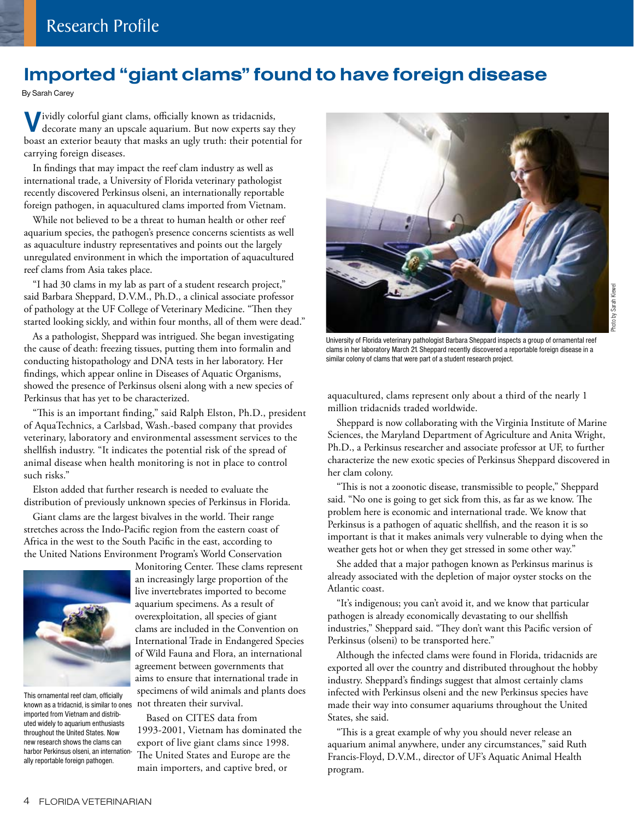### Imported "giant clams" found to have foreign disease

By Sarah Carey

**V**ividly colorful giant clams, officially known as tridacnids, decorate many an upscale aquarium. But now experts say they boast an exterior beauty that masks an ugly truth: their potential for carrying foreign diseases.

In findings that may impact the reef clam industry as well as international trade, a University of Florida veterinary pathologist recently discovered Perkinsus olseni, an internationally reportable foreign pathogen, in aquacultured clams imported from Vietnam.

While not believed to be a threat to human health or other reef aquarium species, the pathogen's presence concerns scientists as well as aquaculture industry representatives and points out the largely unregulated environment in which the importation of aquacultured reef clams from Asia takes place.

"I had 30 clams in my lab as part of a student research project," said Barbara Sheppard, D.V.M., Ph.D., a clinical associate professor of pathology at the UF College of Veterinary Medicine. "Then they started looking sickly, and within four months, all of them were dead."

As a pathologist, Sheppard was intrigued. She began investigating the cause of death: freezing tissues, putting them into formalin and conducting histopathology and DNA tests in her laboratory. Her findings, which appear online in Diseases of Aquatic Organisms, showed the presence of Perkinsus olseni along with a new species of Perkinsus that has yet to be characterized.

"This is an important finding," said Ralph Elston, Ph.D., president of AquaTechnics, a Carlsbad, Wash.-based company that provides veterinary, laboratory and environmental assessment services to the shellfish industry. "It indicates the potential risk of the spread of animal disease when health monitoring is not in place to control such risks."

Elston added that further research is needed to evaluate the distribution of previously unknown species of Perkinsus in Florida.

Giant clams are the largest bivalves in the world. Their range stretches across the Indo-Pacific region from the eastern coast of Africa in the west to the South Pacific in the east, according to the United Nations Environment Program's World Conservation



known as a tridacnid, is similar to ones imported from Vietnam and distributed widely to aquarium enthusiasts throughout the United States. Now new research shows the clams can harbor Perkinsus olseni, an internationally reportable foreign pathogen.

Monitoring Center. These clams represent an increasingly large proportion of the live invertebrates imported to become aquarium specimens. As a result of overexploitation, all species of giant clams are included in the Convention on International Trade in Endangered Species of Wild Fauna and Flora, an international agreement between governments that aims to ensure that international trade in specimens of wild animals and plants does This ornamental reef clam, officially<br>known as a tridacnid, is similar to ones not threaten their survival.

> Based on CITES data from 1993-2001, Vietnam has dominated the export of live giant clams since 1998. The United States and Europe are the main importers, and captive bred, or



University of Florida veterinary pathologist Barbara Sheppard inspects a group of ornamental reef clams in her laboratory March 21. Sheppard recently discovered a reportable foreign disease in a similar colony of clams that were part of a student research project.

aquacultured, clams represent only about a third of the nearly 1 million tridacnids traded worldwide.

Sheppard is now collaborating with the Virginia Institute of Marine Sciences, the Maryland Department of Agriculture and Anita Wright, Ph.D., a Perkinsus researcher and associate professor at UF, to further characterize the new exotic species of Perkinsus Sheppard discovered in her clam colony.

"This is not a zoonotic disease, transmissible to people," Sheppard said. "No one is going to get sick from this, as far as we know. The problem here is economic and international trade. We know that Perkinsus is a pathogen of aquatic shellfish, and the reason it is so important is that it makes animals very vulnerable to dying when the weather gets hot or when they get stressed in some other way."

She added that a major pathogen known as Perkinsus marinus is already associated with the depletion of major oyster stocks on the Atlantic coast.

"It's indigenous; you can't avoid it, and we know that particular pathogen is already economically devastating to our shellfish industries," Sheppard said. "They don't want this Pacific version of Perkinsus (olseni) to be transported here."

Although the infected clams were found in Florida, tridacnids are exported all over the country and distributed throughout the hobby industry. Sheppard's findings suggest that almost certainly clams infected with Perkinsus olseni and the new Perkinsus species have made their way into consumer aquariums throughout the United States, she said.

"This is a great example of why you should never release an aquarium animal anywhere, under any circumstances," said Ruth Francis-Floyd, D.V.M., director of UF's Aquatic Animal Health program.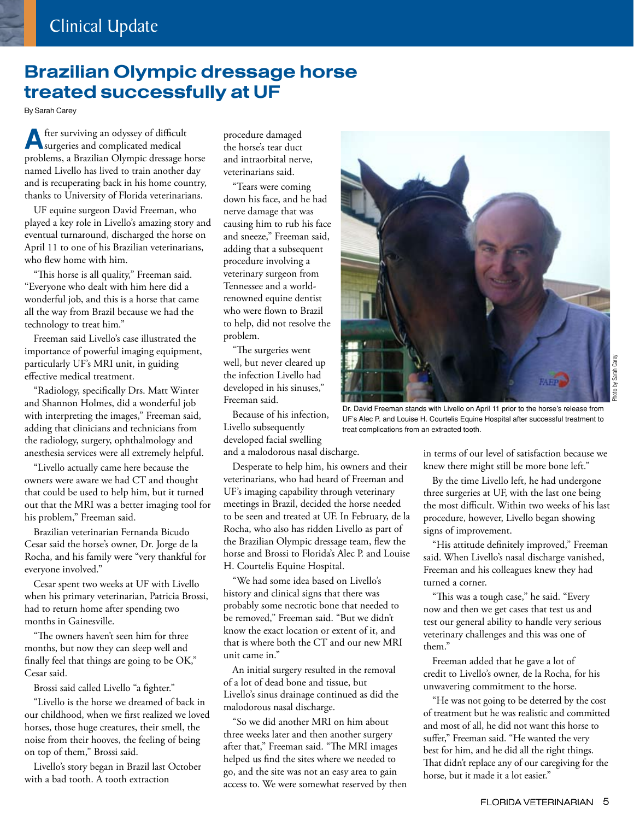## Brazilian Olympic dressage horse treated successfully at UF

By Sarah Carey

**A**fter surviving an odyssey of difficult surgeries and complicated medical problems, a Brazilian Olympic dressage horse named Livello has lived to train another day and is recuperating back in his home country, thanks to University of Florida veterinarians.

UF equine surgeon David Freeman, who played a key role in Livello's amazing story and eventual turnaround, discharged the horse on April 11 to one of his Brazilian veterinarians, who flew home with him.

"This horse is all quality," Freeman said. "Everyone who dealt with him here did a wonderful job, and this is a horse that came all the way from Brazil because we had the technology to treat him."

Freeman said Livello's case illustrated the importance of powerful imaging equipment, particularly UF's MRI unit, in guiding effective medical treatment.

"Radiology, specifically Drs. Matt Winter and Shannon Holmes, did a wonderful job with interpreting the images," Freeman said, adding that clinicians and technicians from the radiology, surgery, ophthalmology and anesthesia services were all extremely helpful.

"Livello actually came here because the owners were aware we had CT and thought that could be used to help him, but it turned out that the MRI was a better imaging tool for his problem," Freeman said.

Brazilian veterinarian Fernanda Bicudo Cesar said the horse's owner, Dr. Jorge de la Rocha, and his family were "very thankful for everyone involved."

Cesar spent two weeks at UF with Livello when his primary veterinarian, Patricia Brossi, had to return home after spending two months in Gainesville.

"The owners haven't seen him for three months, but now they can sleep well and finally feel that things are going to be OK," Cesar said.

Brossi said called Livello "a fighter."

"Livello is the horse we dreamed of back in our childhood, when we first realized we loved horses, those huge creatures, their smell, the noise from their hooves, the feeling of being on top of them," Brossi said.

Livello's story began in Brazil last October with a bad tooth. A tooth extraction

procedure damaged the horse's tear duct and intraorbital nerve, veterinarians said.

"Tears were coming down his face, and he had nerve damage that was causing him to rub his face and sneeze," Freeman said, adding that a subsequent procedure involving a veterinary surgeon from Tennessee and a worldrenowned equine dentist who were flown to Brazil to help, did not resolve the problem.

"The surgeries went well, but never cleared up the infection Livello had developed in his sinuses," Freeman said.

Because of his infection, Livello subsequently developed facial swelling and a malodorous nasal discharge.

Desperate to help him, his owners and their veterinarians, who had heard of Freeman and UF's imaging capability through veterinary meetings in Brazil, decided the horse needed to be seen and treated at UF. In February, de la Rocha, who also has ridden Livello as part of the Brazilian Olympic dressage team, flew the horse and Brossi to Florida's Alec P. and Louise H. Courtelis Equine Hospital.

"We had some idea based on Livello's history and clinical signs that there was probably some necrotic bone that needed to be removed," Freeman said. "But we didn't know the exact location or extent of it, and that is where both the CT and our new MRI unit came in."

An initial surgery resulted in the removal of a lot of dead bone and tissue, but Livello's sinus drainage continued as did the malodorous nasal discharge.

"So we did another MRI on him about three weeks later and then another surgery after that," Freeman said. "The MRI images helped us find the sites where we needed to go, and the site was not an easy area to gain access to. We were somewhat reserved by then



Dr. David Freeman stands with Livello on April 11 prior to the horse's release from UF's Alec P. and Louise H. Courtelis Equine Hospital after successful treatment to treat complications from an extracted tooth.

in terms of our level of satisfaction because we knew there might still be more bone left."

By the time Livello left, he had undergone three surgeries at UF, with the last one being the most difficult. Within two weeks of his last procedure, however, Livello began showing signs of improvement.

"His attitude definitely improved," Freeman said. When Livello's nasal discharge vanished, Freeman and his colleagues knew they had turned a corner.

"This was a tough case," he said. "Every now and then we get cases that test us and test our general ability to handle very serious veterinary challenges and this was one of them."

Freeman added that he gave a lot of credit to Livello's owner, de la Rocha, for his unwavering commitment to the horse.

"He was not going to be deterred by the cost of treatment but he was realistic and committed and most of all, he did not want this horse to suffer," Freeman said. "He wanted the very best for him, and he did all the right things. That didn't replace any of our caregiving for the horse, but it made it a lot easier."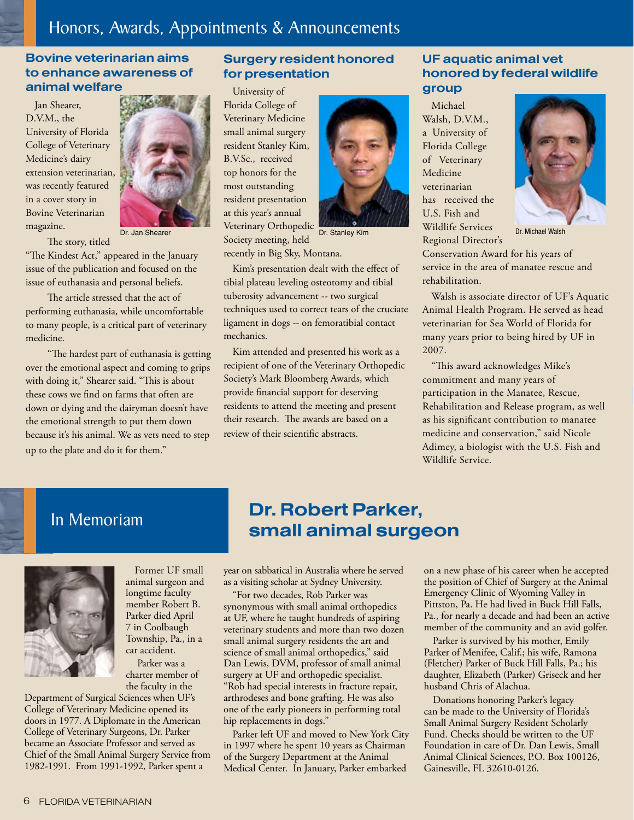### Honors, Awards, Appointments & Announcements

### Bovine veterinarian aims to enhance awareness of animal welfare

Jan Shearer, D.V.M., the University of Florida College of Veterinary Medicine's dairy extension veterinarian, was recently featured in a cover story in Bovine Veterinarian magazine.



 The story, titled "The Kindest Act," appeared in the January issue of the publication and focused on the issue of euthanasia and personal beliefs.

 The article stressed that the act of performing euthanasia, while uncomfortable to many people, is a critical part of veterinary medicine.

 "The hardest part of euthanasia is getting over the emotional aspect and coming to grips with doing it," Shearer said. "This is about these cows we find on farms that often are down or dying and the dairyman doesn't have the emotional strength to put them down because it's his animal. We as vets need to step up to the plate and do it for them."

### Surgery resident honored for presentation

University of Florida College of Veterinary Medicine small animal surgery resident Stanley Kim, B.V.Sc., received top honors for the most outstanding resident presentation at this year's annual Veterinary Orthopedic Society meeting, held Dr. Jan Shearer **Dr. Stanley Kim** Dr. Stanley Kim Michael Walsh Dr. Stanley Kim Dr. Stanley Kim Dr. Jan Dr. Michael Walsh



recently in Big Sky, Montana.

Kim's presentation dealt with the effect of tibial plateau leveling osteotomy and tibial tuberosity advancement -- two surgical techniques used to correct tears of the cruciate ligament in dogs -- on femoratibial contact mechanics.

Kim attended and presented his work as a recipient of one of the Veterinary Orthopedic Society's Mark Bloomberg Awards, which provide financial support for deserving residents to attend the meeting and present their research. The awards are based on a review of their scientific abstracts.

### UF aquatic animal vet honored by federal wildlife group

Michael Walsh, D.V.M., a University of Florida College of Veterinary Medicine veterinarian has received the U.S. Fish and Wildlife Services Regional Director's



Conservation Award for his years of service in the area of manatee rescue and rehabilitation.

Walsh is associate director of UF's Aquatic Animal Health Program. He served as head veterinarian for Sea World of Florida for many years prior to being hired by UF in 2007.

"This award acknowledges Mike's commitment and many years of participation in the Manatee, Rescue, Rehabilitation and Release program, as well as his significant contribution to manatee medicine and conservation," said Nicole Adimey, a biologist with the U.S. Fish and Wildlife Service.

## In Memoriam



Former UF small animal surgeon and longtime faculty member Robert B. Parker died April 7 in Coolbaugh Township, Pa., in a car accident.

 Parker was a charter member of the faculty in the

Department of Surgical Sciences when UF's College of Veterinary Medicine opened its doors in 1977. A Diplomate in the American College of Veterinary Surgeons, Dr. Parker became an Associate Professor and served as Chief of the Small Animal Surgery Service from 1982-1991. From 1991-1992, Parker spent a

## Dr. Robert Parker, small animal surgeon

year on sabbatical in Australia where he served as a visiting scholar at Sydney University.

"For two decades, Rob Parker was synonymous with small animal orthopedics at UF, where he taught hundreds of aspiring veterinary students and more than two dozen small animal surgery residents the art and science of small animal orthopedics," said Dan Lewis, DVM, professor of small animal surgery at UF and orthopedic specialist. "Rob had special interests in fracture repair, arthrodeses and bone grafting. He was also one of the early pioneers in performing total hip replacements in dogs."

Parker left UF and moved to New York City in 1997 where he spent 10 years as Chairman of the Surgery Department at the Animal Medical Center. In January, Parker embarked

on a new phase of his career when he accepted the position of Chief of Surgery at the Animal Emergency Clinic of Wyoming Valley in Pittston, Pa. He had lived in Buck Hill Falls, Pa., for nearly a decade and had been an active member of the community and an avid golfer.

Parker is survived by his mother, Emily Parker of Menifee, Calif.; his wife, Ramona (Fletcher) Parker of Buck Hill Falls, Pa.; his daughter, Elizabeth (Parker) Griseck and her husband Chris of Alachua.

Donations honoring Parker's legacy can be made to the University of Florida's Small Animal Surgery Resident Scholarly Fund. Checks should be written to the UF Foundation in care of Dr. Dan Lewis, Small Animal Clinical Sciences, P.O. Box 100126, Gainesville, FL 32610-0126.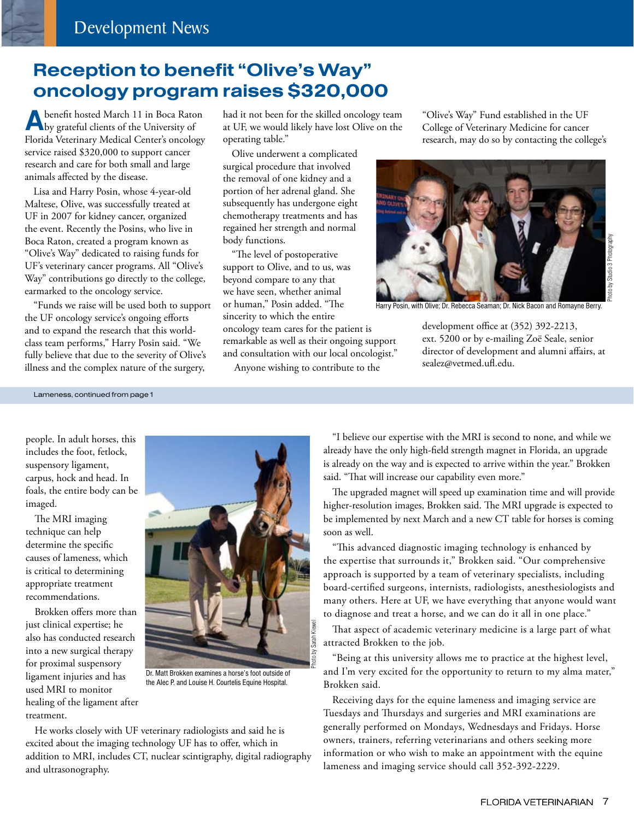## Reception to benefit "Olive's Way" oncology program raises \$320,000

**A**benefit hosted March 11 in Boca Raton<br>by grateful clients of the University of Florida Veterinary Medical Center's oncology service raised \$320,000 to support cancer research and care for both small and large animals affected by the disease.

Lisa and Harry Posin, whose 4-year-old Maltese, Olive, was successfully treated at UF in 2007 for kidney cancer, organized the event. Recently the Posins, who live in Boca Raton, created a program known as "Olive's Way" dedicated to raising funds for UF's veterinary cancer programs. All "Olive's Way" contributions go directly to the college, earmarked to the oncology service.

"Funds we raise will be used both to support the UF oncology service's ongoing efforts and to expand the research that this worldclass team performs," Harry Posin said. "We fully believe that due to the severity of Olive's illness and the complex nature of the surgery,

had it not been for the skilled oncology team at UF, we would likely have lost Olive on the operating table."

Olive underwent a complicated surgical procedure that involved the removal of one kidney and a portion of her adrenal gland. She subsequently has undergone eight chemotherapy treatments and has regained her strength and normal body functions.

"The level of postoperative support to Olive, and to us, was beyond compare to any that we have seen, whether animal or human," Posin added. "The sincerity to which the entire oncology team cares for the patient is

remarkable as well as their ongoing support and consultation with our local oncologist."

Anyone wishing to contribute to the

"Olive's Way" Fund established in the UF College of Veterinary Medicine for cancer research, may do so by contacting the college's



Harry Posin, with Olive; Dr. Rebecca Seaman; Dr. Nick Bacon and Romayne Berry.

development office at (352) 392-2213, ext. 5200 or by e-mailing Zoë Seale, senior director of development and alumni affairs, at sealez@vetmed.ufl.edu.

Lameness, continued from page 1

people. In adult horses, this includes the foot, fetlock, suspensory ligament, carpus, hock and head. In foals, the entire body can be imaged.

The MRI imaging technique can help determine the specific causes of lameness, which is critical to determining appropriate treatment recommendations.

Brokken offers more than just clinical expertise; he also has conducted research into a new surgical therapy for proximal suspensory ligament injuries and has used MRI to monitor healing of the ligament after treatment.



Dr. Matt Brokken examines a horse's foot outside of the Alec P. and Louise H. Courtelis Equine Hospital.

He works closely with UF veterinary radiologists and said he is excited about the imaging technology UF has to offer, which in addition to MRI, includes CT, nuclear scintigraphy, digital radiography and ultrasonography.

"I believe our expertise with the MRI is second to none, and while we already have the only high-field strength magnet in Florida, an upgrade is already on the way and is expected to arrive within the year." Brokken said. "That will increase our capability even more."

The upgraded magnet will speed up examination time and will provide higher-resolution images, Brokken said. The MRI upgrade is expected to be implemented by next March and a new CT table for horses is coming soon as well.

"This advanced diagnostic imaging technology is enhanced by the expertise that surrounds it," Brokken said. "Our comprehensive approach is supported by a team of veterinary specialists, including board-certified surgeons, internists, radiologists, anesthesiologists and many others. Here at UF, we have everything that anyone would want to diagnose and treat a horse, and we can do it all in one place."

That aspect of academic veterinary medicine is a large part of what attracted Brokken to the job.

"Being at this university allows me to practice at the highest level, and I'm very excited for the opportunity to return to my alma mater," Brokken said.

Receiving days for the equine lameness and imaging service are Tuesdays and Thursdays and surgeries and MRI examinations are generally performed on Mondays, Wednesdays and Fridays. Horse owners, trainers, referring veterinarians and others seeking more information or who wish to make an appointment with the equine lameness and imaging service should call 352-392-2229.